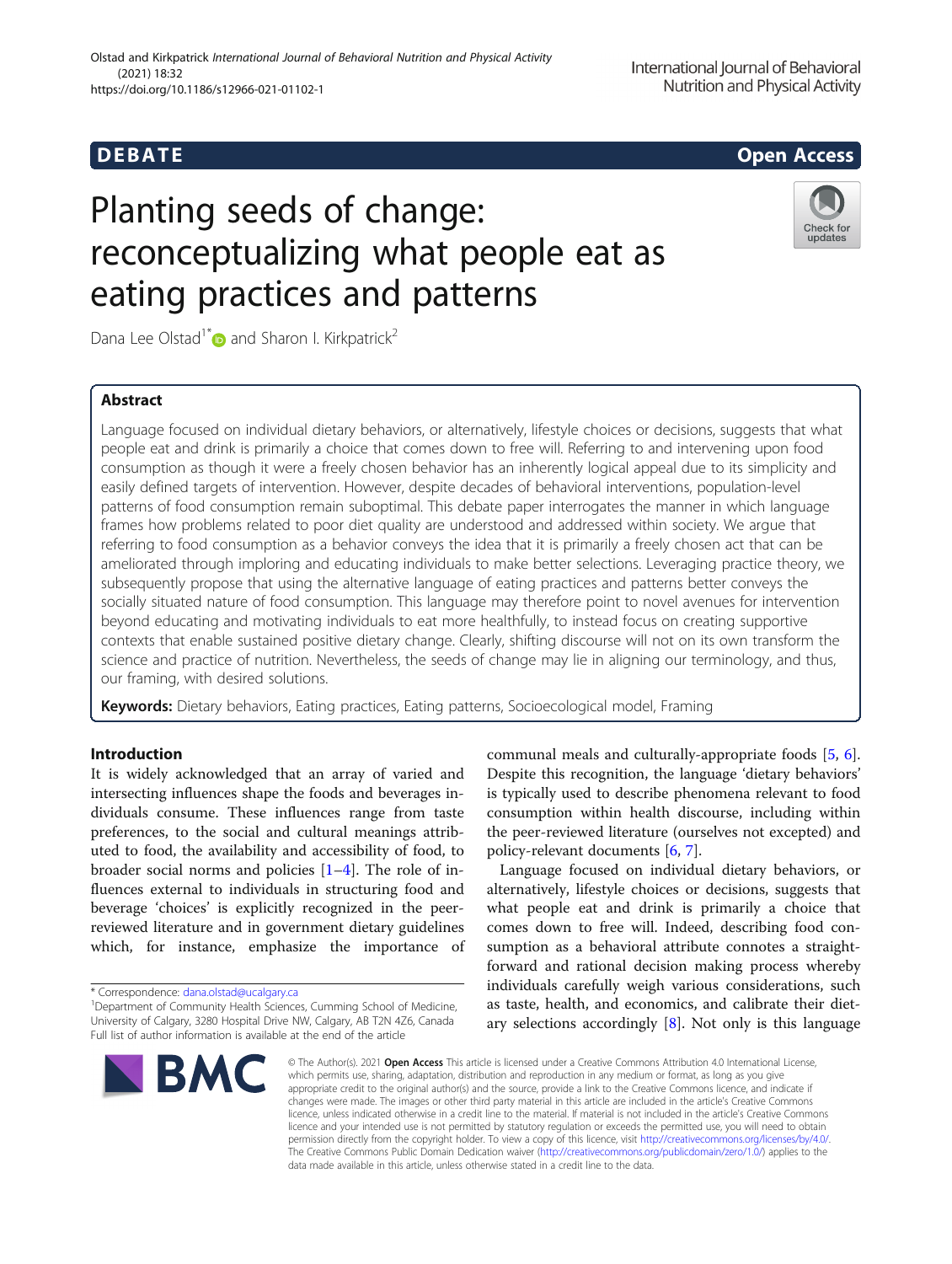## **DEBATE DEBATE Open Access**

# Planting seeds of change: reconceptualizing what people eat as eating practices and patterns



Dana Lee Olstad<sup>1\*</sup> and Sharon I. Kirkpatrick<sup>2</sup>

## Abstract

Language focused on individual dietary behaviors, or alternatively, lifestyle choices or decisions, suggests that what people eat and drink is primarily a choice that comes down to free will. Referring to and intervening upon food consumption as though it were a freely chosen behavior has an inherently logical appeal due to its simplicity and easily defined targets of intervention. However, despite decades of behavioral interventions, population-level patterns of food consumption remain suboptimal. This debate paper interrogates the manner in which language frames how problems related to poor diet quality are understood and addressed within society. We argue that referring to food consumption as a behavior conveys the idea that it is primarily a freely chosen act that can be ameliorated through imploring and educating individuals to make better selections. Leveraging practice theory, we subsequently propose that using the alternative language of eating practices and patterns better conveys the socially situated nature of food consumption. This language may therefore point to novel avenues for intervention beyond educating and motivating individuals to eat more healthfully, to instead focus on creating supportive contexts that enable sustained positive dietary change. Clearly, shifting discourse will not on its own transform the science and practice of nutrition. Nevertheless, the seeds of change may lie in aligning our terminology, and thus, our framing, with desired solutions.

Keywords: Dietary behaviors, Eating practices, Eating patterns, Socioecological model, Framing

## Introduction

It is widely acknowledged that an array of varied and intersecting influences shape the foods and beverages individuals consume. These influences range from taste preferences, to the social and cultural meanings attributed to food, the availability and accessibility of food, to broader social norms and policies  $[1-4]$  $[1-4]$  $[1-4]$  $[1-4]$ . The role of influences external to individuals in structuring food and beverage 'choices' is explicitly recognized in the peerreviewed literature and in government dietary guidelines which, for instance, emphasize the importance of

\* Correspondence: [dana.olstad@ucalgary.ca](mailto:dana.olstad@ucalgary.ca) <sup>1</sup>

<sup>1</sup>Department of Community Health Sciences, Cumming School of Medicine, University of Calgary, 3280 Hospital Drive NW, Calgary, AB T2N 4Z6, Canada Full list of author information is available at the end of the article



communal meals and culturally-appropriate foods [[5,](#page-5-0) [6](#page-5-0)]. Despite this recognition, the language 'dietary behaviors' is typically used to describe phenomena relevant to food consumption within health discourse, including within the peer-reviewed literature (ourselves not excepted) and policy-relevant documents [\[6](#page-5-0), [7\]](#page-5-0).

Language focused on individual dietary behaviors, or alternatively, lifestyle choices or decisions, suggests that what people eat and drink is primarily a choice that comes down to free will. Indeed, describing food consumption as a behavioral attribute connotes a straightforward and rational decision making process whereby individuals carefully weigh various considerations, such as taste, health, and economics, and calibrate their dietary selections accordingly  $[8]$  $[8]$  $[8]$ . Not only is this language

© The Author(s), 2021 **Open Access** This article is licensed under a Creative Commons Attribution 4.0 International License, which permits use, sharing, adaptation, distribution and reproduction in any medium or format, as long as you give appropriate credit to the original author(s) and the source, provide a link to the Creative Commons licence, and indicate if changes were made. The images or other third party material in this article are included in the article's Creative Commons licence, unless indicated otherwise in a credit line to the material. If material is not included in the article's Creative Commons licence and your intended use is not permitted by statutory regulation or exceeds the permitted use, you will need to obtain permission directly from the copyright holder. To view a copy of this licence, visit [http://creativecommons.org/licenses/by/4.0/.](http://creativecommons.org/licenses/by/4.0/) The Creative Commons Public Domain Dedication waiver [\(http://creativecommons.org/publicdomain/zero/1.0/](http://creativecommons.org/publicdomain/zero/1.0/)) applies to the data made available in this article, unless otherwise stated in a credit line to the data.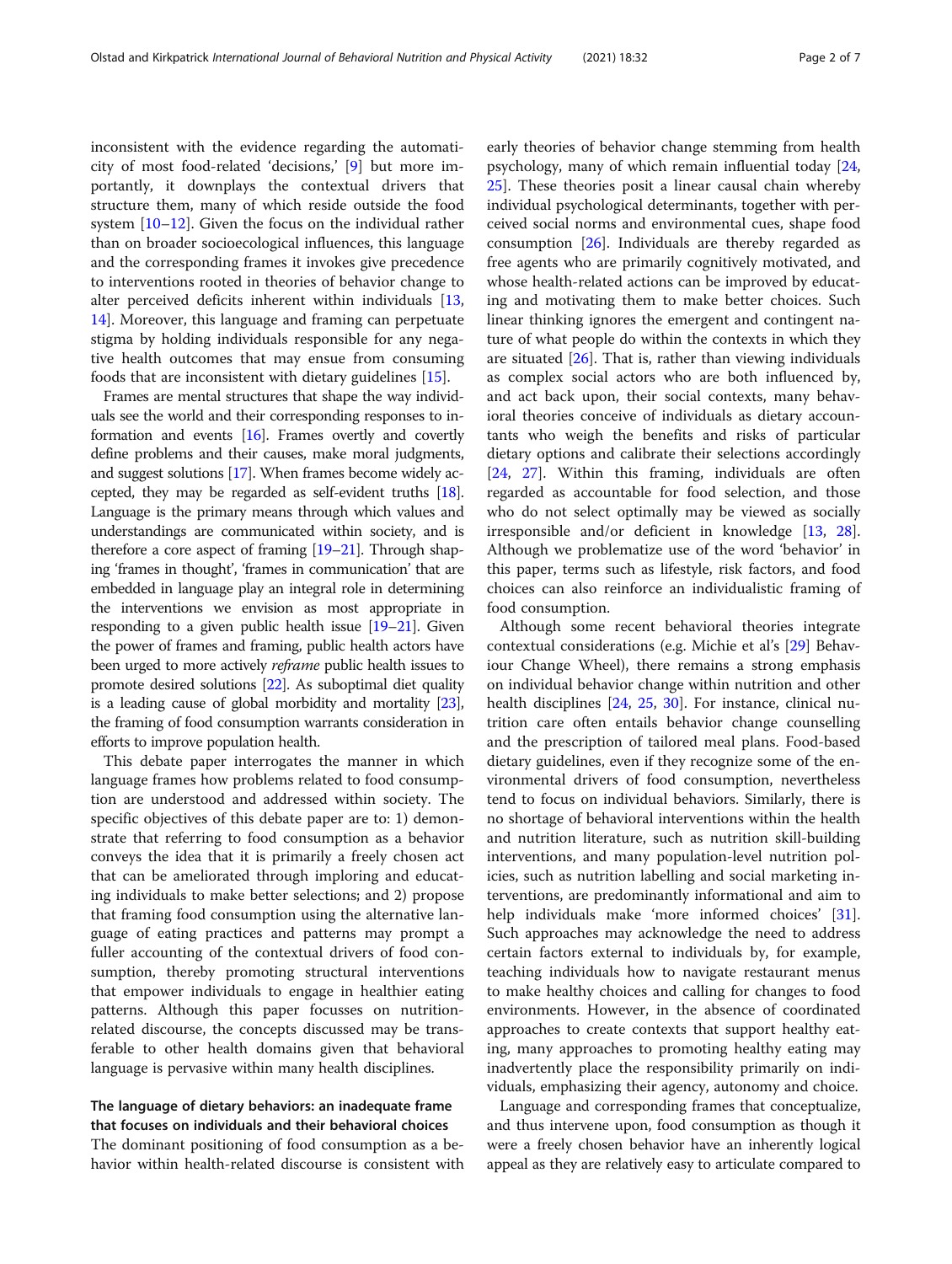inconsistent with the evidence regarding the automaticity of most food-related 'decisions,' [\[9\]](#page-5-0) but more importantly, it downplays the contextual drivers that structure them, many of which reside outside the food system [[10](#page-5-0)–[12](#page-5-0)]. Given the focus on the individual rather than on broader socioecological influences, this language and the corresponding frames it invokes give precedence to interventions rooted in theories of behavior change to alter perceived deficits inherent within individuals [[13](#page-5-0), [14\]](#page-5-0). Moreover, this language and framing can perpetuate stigma by holding individuals responsible for any negative health outcomes that may ensue from consuming foods that are inconsistent with dietary guidelines [[15\]](#page-5-0).

Frames are mental structures that shape the way individuals see the world and their corresponding responses to information and events [\[16](#page-5-0)]. Frames overtly and covertly define problems and their causes, make moral judgments, and suggest solutions [[17\]](#page-5-0). When frames become widely accepted, they may be regarded as self-evident truths [\[18](#page-5-0)]. Language is the primary means through which values and understandings are communicated within society, and is therefore a core aspect of framing  $[19-21]$  $[19-21]$  $[19-21]$ . Through shaping 'frames in thought', 'frames in communication' that are embedded in language play an integral role in determining the interventions we envision as most appropriate in responding to a given public health issue [\[19](#page-6-0)–[21\]](#page-6-0). Given the power of frames and framing, public health actors have been urged to more actively *reframe* public health issues to promote desired solutions [\[22](#page-6-0)]. As suboptimal diet quality is a leading cause of global morbidity and mortality [\[23](#page-6-0)], the framing of food consumption warrants consideration in efforts to improve population health.

This debate paper interrogates the manner in which language frames how problems related to food consumption are understood and addressed within society. The specific objectives of this debate paper are to: 1) demonstrate that referring to food consumption as a behavior conveys the idea that it is primarily a freely chosen act that can be ameliorated through imploring and educating individuals to make better selections; and 2) propose that framing food consumption using the alternative language of eating practices and patterns may prompt a fuller accounting of the contextual drivers of food consumption, thereby promoting structural interventions that empower individuals to engage in healthier eating patterns. Although this paper focusses on nutritionrelated discourse, the concepts discussed may be transferable to other health domains given that behavioral language is pervasive within many health disciplines.

## The language of dietary behaviors: an inadequate frame that focuses on individuals and their behavioral choices

The dominant positioning of food consumption as a behavior within health-related discourse is consistent with early theories of behavior change stemming from health psychology, many of which remain influential today [[24](#page-6-0), [25\]](#page-6-0). These theories posit a linear causal chain whereby individual psychological determinants, together with perceived social norms and environmental cues, shape food consumption [[26](#page-6-0)]. Individuals are thereby regarded as free agents who are primarily cognitively motivated, and whose health-related actions can be improved by educating and motivating them to make better choices. Such linear thinking ignores the emergent and contingent nature of what people do within the contexts in which they are situated  $[26]$  $[26]$ . That is, rather than viewing individuals as complex social actors who are both influenced by, and act back upon, their social contexts, many behavioral theories conceive of individuals as dietary accountants who weigh the benefits and risks of particular dietary options and calibrate their selections accordingly [[24,](#page-6-0) [27\]](#page-6-0). Within this framing, individuals are often regarded as accountable for food selection, and those who do not select optimally may be viewed as socially irresponsible and/or deficient in knowledge [\[13](#page-5-0), [28](#page-6-0)]. Although we problematize use of the word 'behavior' in this paper, terms such as lifestyle, risk factors, and food choices can also reinforce an individualistic framing of food consumption.

Although some recent behavioral theories integrate contextual considerations (e.g. Michie et al's [\[29](#page-6-0)] Behaviour Change Wheel), there remains a strong emphasis on individual behavior change within nutrition and other health disciplines [\[24](#page-6-0), [25,](#page-6-0) [30\]](#page-6-0). For instance, clinical nutrition care often entails behavior change counselling and the prescription of tailored meal plans. Food-based dietary guidelines, even if they recognize some of the environmental drivers of food consumption, nevertheless tend to focus on individual behaviors. Similarly, there is no shortage of behavioral interventions within the health and nutrition literature, such as nutrition skill-building interventions, and many population-level nutrition policies, such as nutrition labelling and social marketing interventions, are predominantly informational and aim to help individuals make 'more informed choices' [\[31](#page-6-0)]. Such approaches may acknowledge the need to address certain factors external to individuals by, for example, teaching individuals how to navigate restaurant menus to make healthy choices and calling for changes to food environments. However, in the absence of coordinated approaches to create contexts that support healthy eating, many approaches to promoting healthy eating may inadvertently place the responsibility primarily on individuals, emphasizing their agency, autonomy and choice.

Language and corresponding frames that conceptualize, and thus intervene upon, food consumption as though it were a freely chosen behavior have an inherently logical appeal as they are relatively easy to articulate compared to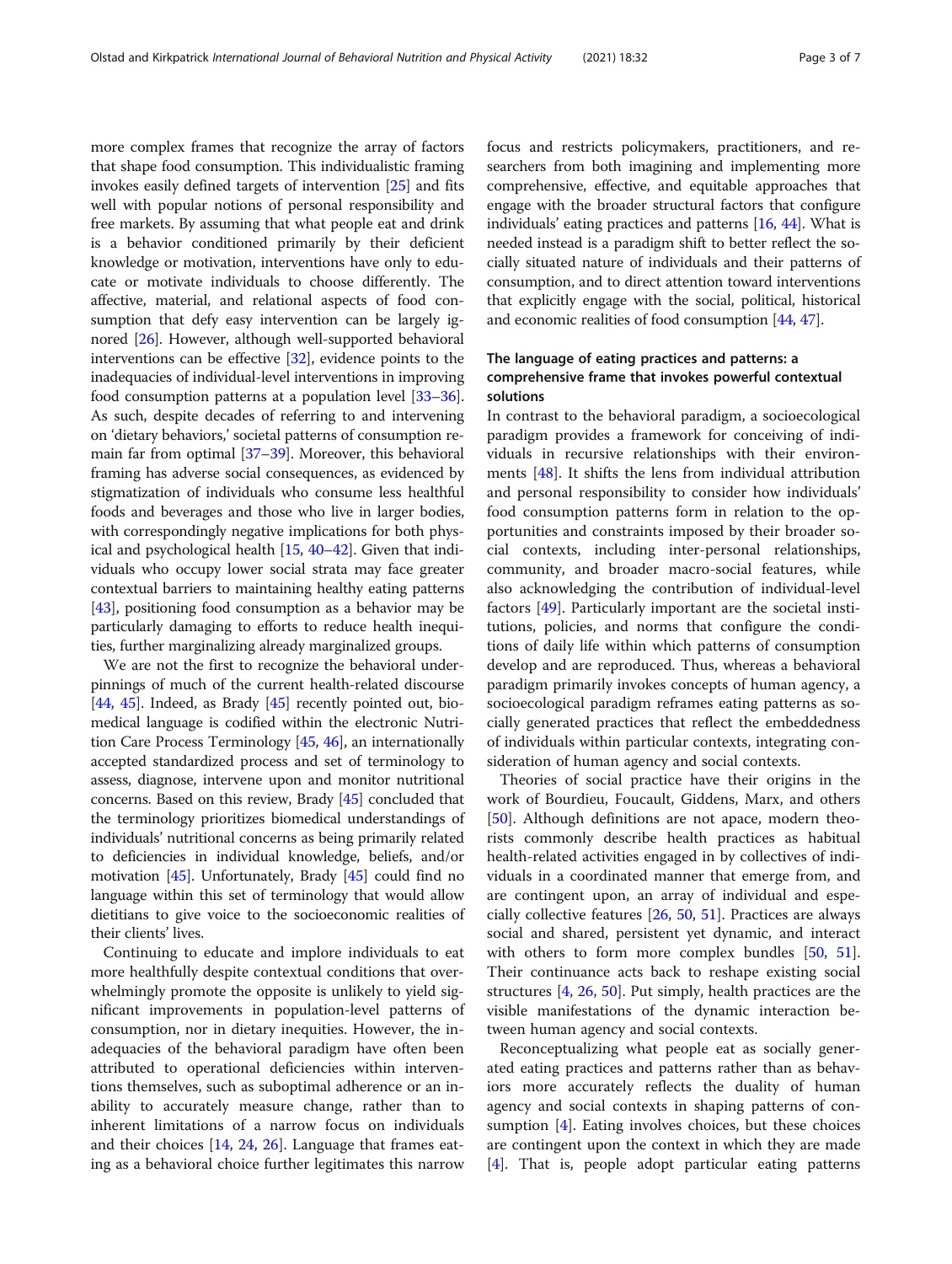more complex frames that recognize the array of factors that shape food consumption. This individualistic framing invokes easily defined targets of intervention [\[25\]](#page-6-0) and fits well with popular notions of personal responsibility and free markets. By assuming that what people eat and drink is a behavior conditioned primarily by their deficient knowledge or motivation, interventions have only to educate or motivate individuals to choose differently. The affective, material, and relational aspects of food consumption that defy easy intervention can be largely ignored [[26](#page-6-0)]. However, although well-supported behavioral interventions can be effective [\[32\]](#page-6-0), evidence points to the inadequacies of individual-level interventions in improving food consumption patterns at a population level [\[33](#page-6-0)–[36](#page-6-0)]. As such, despite decades of referring to and intervening on 'dietary behaviors,' societal patterns of consumption remain far from optimal [[37](#page-6-0)–[39\]](#page-6-0). Moreover, this behavioral framing has adverse social consequences, as evidenced by stigmatization of individuals who consume less healthful foods and beverages and those who live in larger bodies, with correspondingly negative implications for both physical and psychological health [\[15,](#page-5-0) [40](#page-6-0)–[42\]](#page-6-0). Given that individuals who occupy lower social strata may face greater contextual barriers to maintaining healthy eating patterns [[43](#page-6-0)], positioning food consumption as a behavior may be particularly damaging to efforts to reduce health inequities, further marginalizing already marginalized groups.

We are not the first to recognize the behavioral underpinnings of much of the current health-related discourse [[44](#page-6-0), [45\]](#page-6-0). Indeed, as Brady  $[45]$  recently pointed out, biomedical language is codified within the electronic Nutrition Care Process Terminology [[45](#page-6-0), [46](#page-6-0)], an internationally accepted standardized process and set of terminology to assess, diagnose, intervene upon and monitor nutritional concerns. Based on this review, Brady [[45](#page-6-0)] concluded that the terminology prioritizes biomedical understandings of individuals' nutritional concerns as being primarily related to deficiencies in individual knowledge, beliefs, and/or motivation [\[45\]](#page-6-0). Unfortunately, Brady [[45](#page-6-0)] could find no language within this set of terminology that would allow dietitians to give voice to the socioeconomic realities of their clients' lives.

Continuing to educate and implore individuals to eat more healthfully despite contextual conditions that overwhelmingly promote the opposite is unlikely to yield significant improvements in population-level patterns of consumption, nor in dietary inequities. However, the inadequacies of the behavioral paradigm have often been attributed to operational deficiencies within interventions themselves, such as suboptimal adherence or an inability to accurately measure change, rather than to inherent limitations of a narrow focus on individuals and their choices [[14,](#page-5-0) [24,](#page-6-0) [26](#page-6-0)]. Language that frames eating as a behavioral choice further legitimates this narrow focus and restricts policymakers, practitioners, and researchers from both imagining and implementing more comprehensive, effective, and equitable approaches that engage with the broader structural factors that configure individuals' eating practices and patterns [\[16,](#page-5-0) [44\]](#page-6-0). What is needed instead is a paradigm shift to better reflect the socially situated nature of individuals and their patterns of consumption, and to direct attention toward interventions that explicitly engage with the social, political, historical and economic realities of food consumption [\[44](#page-6-0), [47](#page-6-0)].

## The language of eating practices and patterns: a comprehensive frame that invokes powerful contextual solutions

In contrast to the behavioral paradigm, a socioecological paradigm provides a framework for conceiving of individuals in recursive relationships with their environments [[48](#page-6-0)]. It shifts the lens from individual attribution and personal responsibility to consider how individuals' food consumption patterns form in relation to the opportunities and constraints imposed by their broader social contexts, including inter-personal relationships, community, and broader macro-social features, while also acknowledging the contribution of individual-level factors [[49](#page-6-0)]. Particularly important are the societal institutions, policies, and norms that configure the conditions of daily life within which patterns of consumption develop and are reproduced. Thus, whereas a behavioral paradigm primarily invokes concepts of human agency, a socioecological paradigm reframes eating patterns as socially generated practices that reflect the embeddedness of individuals within particular contexts, integrating consideration of human agency and social contexts.

Theories of social practice have their origins in the work of Bourdieu, Foucault, Giddens, Marx, and others [[50\]](#page-6-0). Although definitions are not apace, modern theorists commonly describe health practices as habitual health-related activities engaged in by collectives of individuals in a coordinated manner that emerge from, and are contingent upon, an array of individual and especially collective features [\[26](#page-6-0), [50](#page-6-0), [51](#page-6-0)]. Practices are always social and shared, persistent yet dynamic, and interact with others to form more complex bundles [[50,](#page-6-0) [51](#page-6-0)]. Their continuance acts back to reshape existing social structures [[4](#page-5-0), [26](#page-6-0), [50](#page-6-0)]. Put simply, health practices are the visible manifestations of the dynamic interaction between human agency and social contexts.

Reconceptualizing what people eat as socially generated eating practices and patterns rather than as behaviors more accurately reflects the duality of human agency and social contexts in shaping patterns of consumption [\[4](#page-5-0)]. Eating involves choices, but these choices are contingent upon the context in which they are made [[4\]](#page-5-0). That is, people adopt particular eating patterns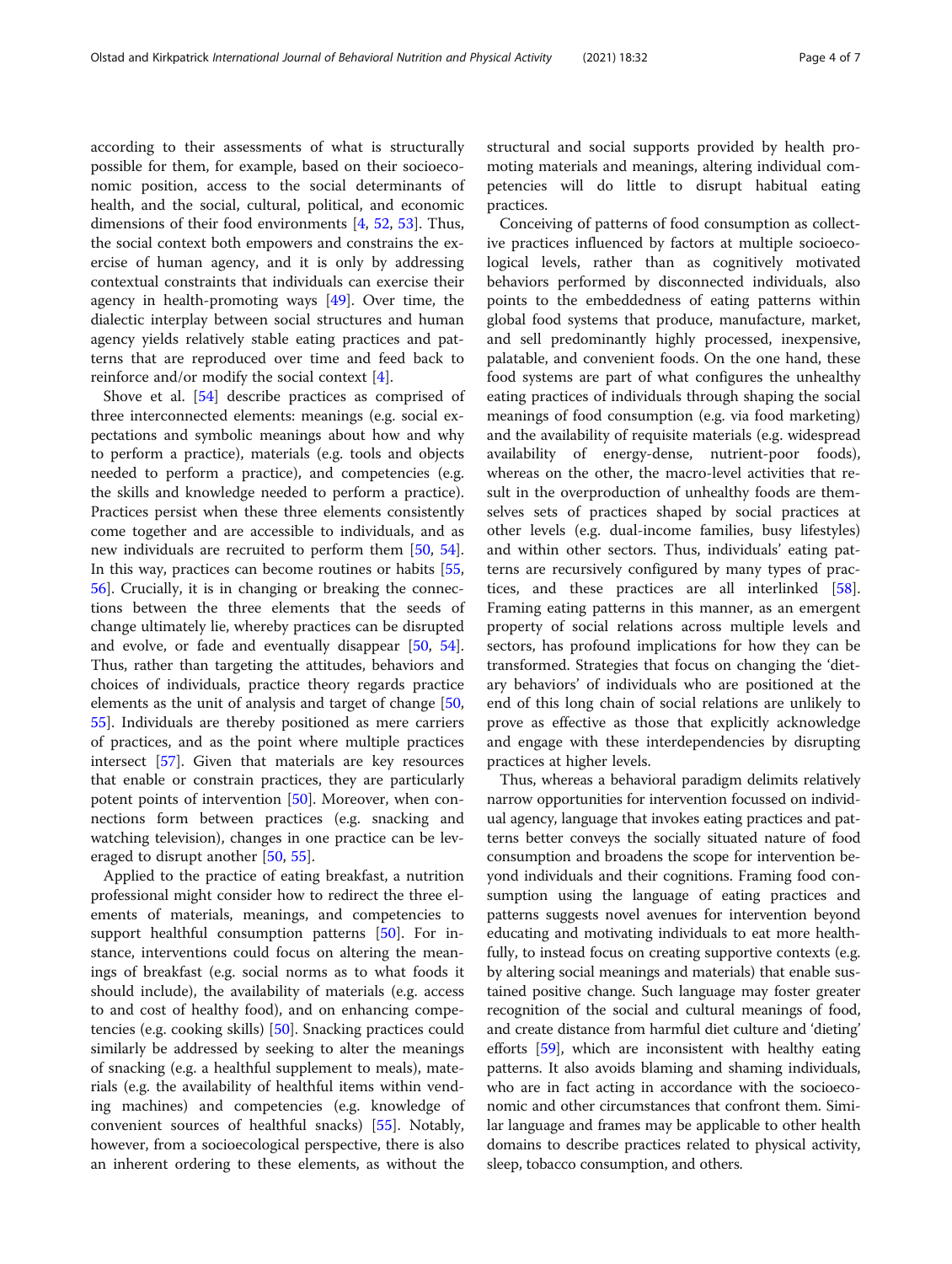according to their assessments of what is structurally possible for them, for example, based on their socioeconomic position, access to the social determinants of health, and the social, cultural, political, and economic dimensions of their food environments [[4,](#page-5-0) [52,](#page-6-0) [53\]](#page-6-0). Thus, the social context both empowers and constrains the exercise of human agency, and it is only by addressing contextual constraints that individuals can exercise their agency in health-promoting ways [[49\]](#page-6-0). Over time, the dialectic interplay between social structures and human agency yields relatively stable eating practices and patterns that are reproduced over time and feed back to reinforce and/or modify the social context  $[4]$  $[4]$ .

Shove et al. [\[54\]](#page-6-0) describe practices as comprised of three interconnected elements: meanings (e.g. social expectations and symbolic meanings about how and why to perform a practice), materials (e.g. tools and objects needed to perform a practice), and competencies (e.g. the skills and knowledge needed to perform a practice). Practices persist when these three elements consistently come together and are accessible to individuals, and as new individuals are recruited to perform them [[50](#page-6-0), [54](#page-6-0)]. In this way, practices can become routines or habits [[55](#page-6-0), [56\]](#page-6-0). Crucially, it is in changing or breaking the connections between the three elements that the seeds of change ultimately lie, whereby practices can be disrupted and evolve, or fade and eventually disappear [\[50](#page-6-0), [54](#page-6-0)]. Thus, rather than targeting the attitudes, behaviors and choices of individuals, practice theory regards practice elements as the unit of analysis and target of change [[50](#page-6-0), [55\]](#page-6-0). Individuals are thereby positioned as mere carriers of practices, and as the point where multiple practices intersect [\[57](#page-6-0)]. Given that materials are key resources that enable or constrain practices, they are particularly potent points of intervention [[50\]](#page-6-0). Moreover, when connections form between practices (e.g. snacking and watching television), changes in one practice can be leveraged to disrupt another [\[50,](#page-6-0) [55\]](#page-6-0).

Applied to the practice of eating breakfast, a nutrition professional might consider how to redirect the three elements of materials, meanings, and competencies to support healthful consumption patterns [[50\]](#page-6-0). For instance, interventions could focus on altering the meanings of breakfast (e.g. social norms as to what foods it should include), the availability of materials (e.g. access to and cost of healthy food), and on enhancing competencies (e.g. cooking skills) [\[50](#page-6-0)]. Snacking practices could similarly be addressed by seeking to alter the meanings of snacking (e.g. a healthful supplement to meals), materials (e.g. the availability of healthful items within vending machines) and competencies (e.g. knowledge of convenient sources of healthful snacks) [[55](#page-6-0)]. Notably, however, from a socioecological perspective, there is also an inherent ordering to these elements, as without the structural and social supports provided by health promoting materials and meanings, altering individual competencies will do little to disrupt habitual eating practices.

Conceiving of patterns of food consumption as collective practices influenced by factors at multiple socioecological levels, rather than as cognitively motivated behaviors performed by disconnected individuals, also points to the embeddedness of eating patterns within global food systems that produce, manufacture, market, and sell predominantly highly processed, inexpensive, palatable, and convenient foods. On the one hand, these food systems are part of what configures the unhealthy eating practices of individuals through shaping the social meanings of food consumption (e.g. via food marketing) and the availability of requisite materials (e.g. widespread availability of energy-dense, nutrient-poor foods), whereas on the other, the macro-level activities that result in the overproduction of unhealthy foods are themselves sets of practices shaped by social practices at other levels (e.g. dual-income families, busy lifestyles) and within other sectors. Thus, individuals' eating patterns are recursively configured by many types of practices, and these practices are all interlinked [\[58](#page-6-0)]. Framing eating patterns in this manner, as an emergent property of social relations across multiple levels and sectors, has profound implications for how they can be transformed. Strategies that focus on changing the 'dietary behaviors' of individuals who are positioned at the end of this long chain of social relations are unlikely to prove as effective as those that explicitly acknowledge and engage with these interdependencies by disrupting practices at higher levels.

Thus, whereas a behavioral paradigm delimits relatively narrow opportunities for intervention focussed on individual agency, language that invokes eating practices and patterns better conveys the socially situated nature of food consumption and broadens the scope for intervention beyond individuals and their cognitions. Framing food consumption using the language of eating practices and patterns suggests novel avenues for intervention beyond educating and motivating individuals to eat more healthfully, to instead focus on creating supportive contexts (e.g. by altering social meanings and materials) that enable sustained positive change. Such language may foster greater recognition of the social and cultural meanings of food, and create distance from harmful diet culture and 'dieting' efforts [\[59\]](#page-6-0), which are inconsistent with healthy eating patterns. It also avoids blaming and shaming individuals, who are in fact acting in accordance with the socioeconomic and other circumstances that confront them. Similar language and frames may be applicable to other health domains to describe practices related to physical activity, sleep, tobacco consumption, and others.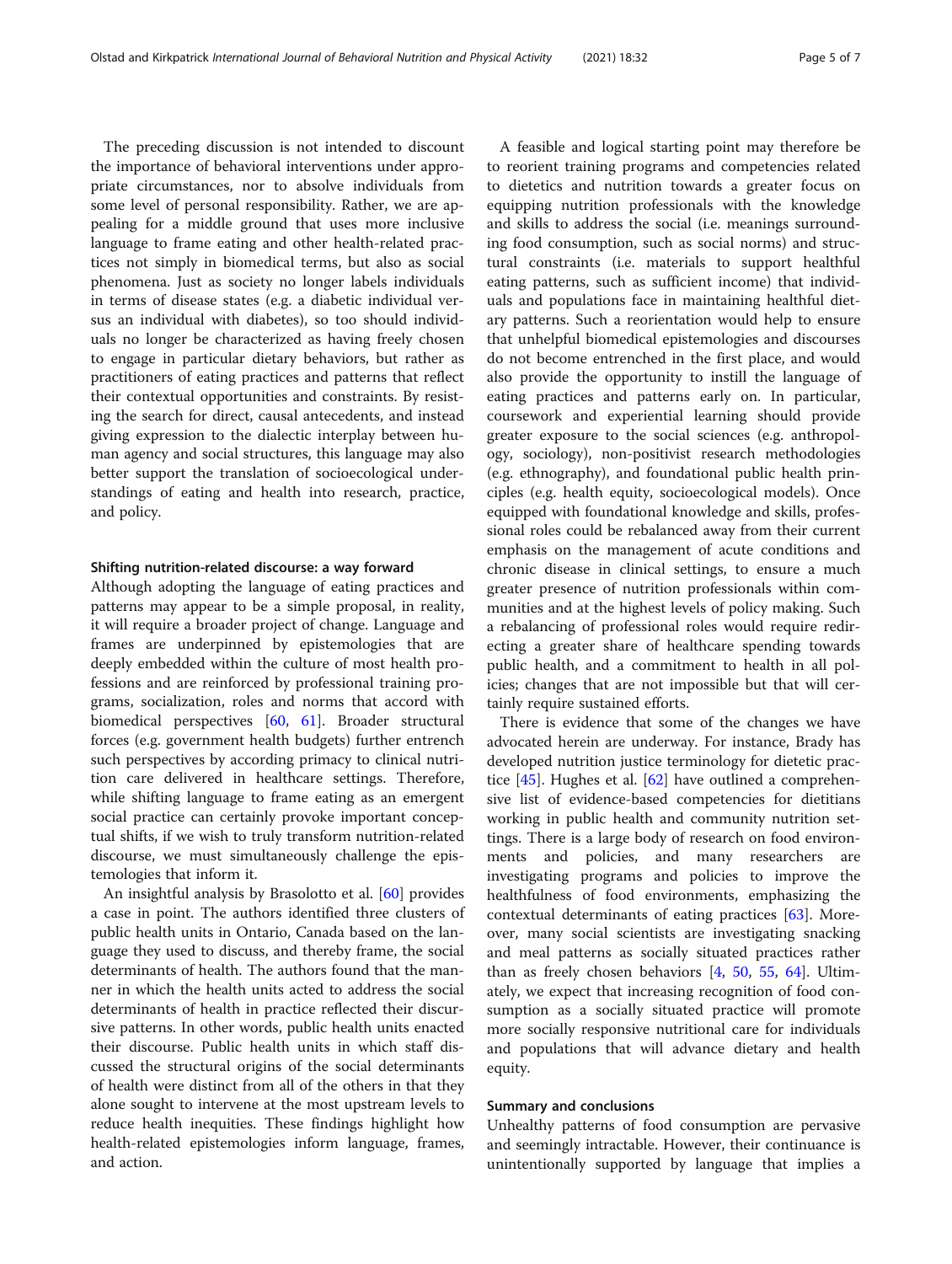The preceding discussion is not intended to discount the importance of behavioral interventions under appropriate circumstances, nor to absolve individuals from some level of personal responsibility. Rather, we are appealing for a middle ground that uses more inclusive language to frame eating and other health-related practices not simply in biomedical terms, but also as social phenomena. Just as society no longer labels individuals in terms of disease states (e.g. a diabetic individual versus an individual with diabetes), so too should individuals no longer be characterized as having freely chosen to engage in particular dietary behaviors, but rather as practitioners of eating practices and patterns that reflect their contextual opportunities and constraints. By resisting the search for direct, causal antecedents, and instead giving expression to the dialectic interplay between human agency and social structures, this language may also better support the translation of socioecological understandings of eating and health into research, practice, and policy.

#### Shifting nutrition-related discourse: a way forward

Although adopting the language of eating practices and patterns may appear to be a simple proposal, in reality, it will require a broader project of change. Language and frames are underpinned by epistemologies that are deeply embedded within the culture of most health professions and are reinforced by professional training programs, socialization, roles and norms that accord with biomedical perspectives [[60,](#page-6-0) [61](#page-6-0)]. Broader structural forces (e.g. government health budgets) further entrench such perspectives by according primacy to clinical nutrition care delivered in healthcare settings. Therefore, while shifting language to frame eating as an emergent social practice can certainly provoke important conceptual shifts, if we wish to truly transform nutrition-related discourse, we must simultaneously challenge the epistemologies that inform it.

An insightful analysis by Brasolotto et al. [[60\]](#page-6-0) provides a case in point. The authors identified three clusters of public health units in Ontario, Canada based on the language they used to discuss, and thereby frame, the social determinants of health. The authors found that the manner in which the health units acted to address the social determinants of health in practice reflected their discursive patterns. In other words, public health units enacted their discourse. Public health units in which staff discussed the structural origins of the social determinants of health were distinct from all of the others in that they alone sought to intervene at the most upstream levels to reduce health inequities. These findings highlight how health-related epistemologies inform language, frames, and action.

A feasible and logical starting point may therefore be to reorient training programs and competencies related to dietetics and nutrition towards a greater focus on equipping nutrition professionals with the knowledge and skills to address the social (i.e. meanings surrounding food consumption, such as social norms) and structural constraints (i.e. materials to support healthful eating patterns, such as sufficient income) that individuals and populations face in maintaining healthful dietary patterns. Such a reorientation would help to ensure that unhelpful biomedical epistemologies and discourses do not become entrenched in the first place, and would also provide the opportunity to instill the language of eating practices and patterns early on. In particular, coursework and experiential learning should provide greater exposure to the social sciences (e.g. anthropology, sociology), non-positivist research methodologies (e.g. ethnography), and foundational public health principles (e.g. health equity, socioecological models). Once equipped with foundational knowledge and skills, professional roles could be rebalanced away from their current emphasis on the management of acute conditions and chronic disease in clinical settings, to ensure a much greater presence of nutrition professionals within communities and at the highest levels of policy making. Such a rebalancing of professional roles would require redirecting a greater share of healthcare spending towards public health, and a commitment to health in all policies; changes that are not impossible but that will certainly require sustained efforts.

There is evidence that some of the changes we have advocated herein are underway. For instance, Brady has developed nutrition justice terminology for dietetic practice [[45\]](#page-6-0). Hughes et al. [[62](#page-6-0)] have outlined a comprehensive list of evidence-based competencies for dietitians working in public health and community nutrition settings. There is a large body of research on food environments and policies, and many researchers are investigating programs and policies to improve the healthfulness of food environments, emphasizing the contextual determinants of eating practices [\[63](#page-6-0)]. Moreover, many social scientists are investigating snacking and meal patterns as socially situated practices rather than as freely chosen behaviors [[4,](#page-5-0) [50](#page-6-0), [55,](#page-6-0) [64](#page-6-0)]. Ultimately, we expect that increasing recognition of food consumption as a socially situated practice will promote more socially responsive nutritional care for individuals and populations that will advance dietary and health equity.

### Summary and conclusions

Unhealthy patterns of food consumption are pervasive and seemingly intractable. However, their continuance is unintentionally supported by language that implies a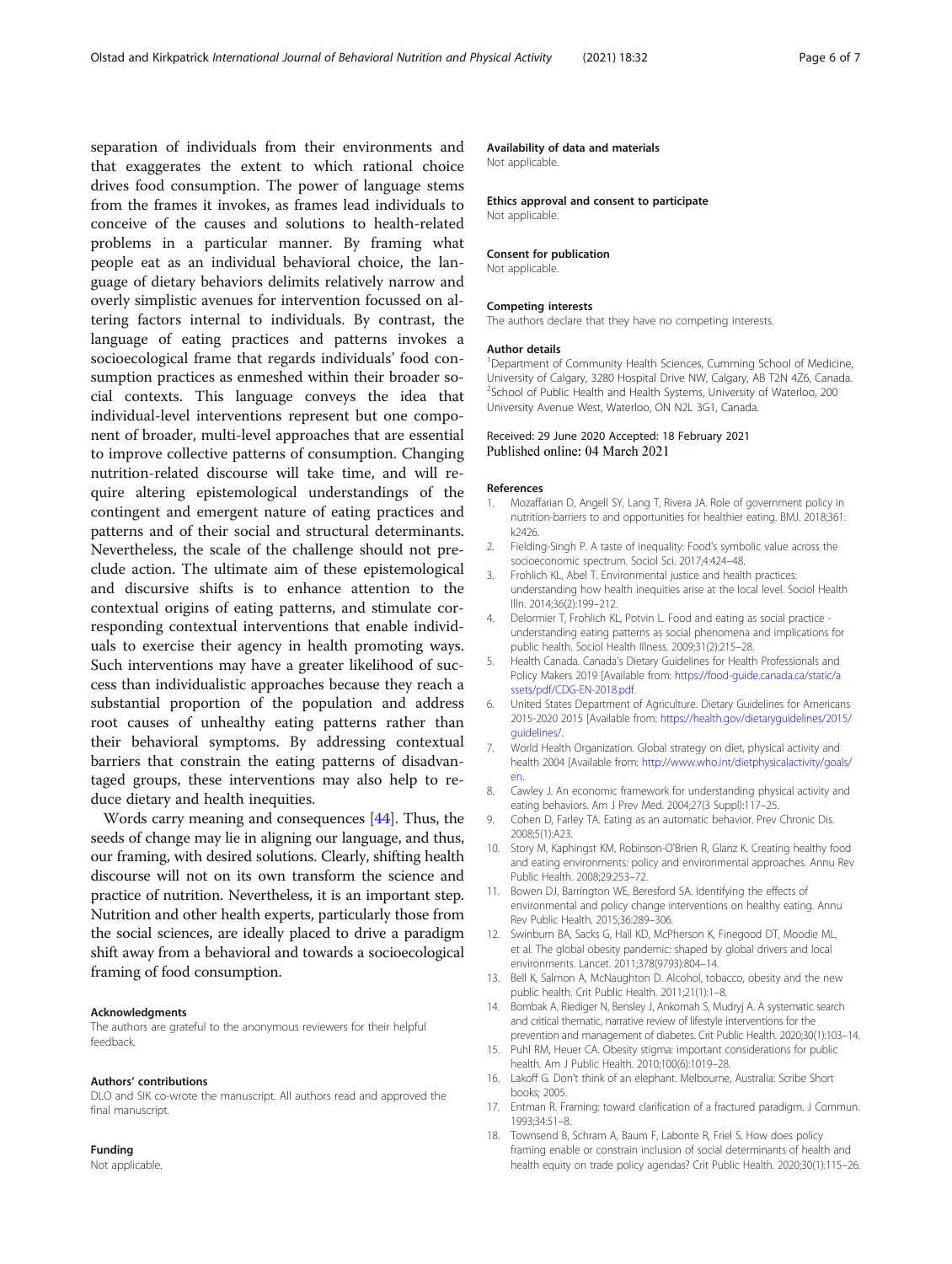<span id="page-5-0"></span>separation of individuals from their environments and that exaggerates the extent to which rational choice drives food consumption. The power of language stems from the frames it invokes, as frames lead individuals to conceive of the causes and solutions to health-related problems in a particular manner. By framing what people eat as an individual behavioral choice, the language of dietary behaviors delimits relatively narrow and overly simplistic avenues for intervention focussed on altering factors internal to individuals. By contrast, the language of eating practices and patterns invokes a socioecological frame that regards individuals' food consumption practices as enmeshed within their broader social contexts. This language conveys the idea that individual-level interventions represent but one component of broader, multi-level approaches that are essential to improve collective patterns of consumption. Changing nutrition-related discourse will take time, and will require altering epistemological understandings of the contingent and emergent nature of eating practices and patterns and of their social and structural determinants. Nevertheless, the scale of the challenge should not preclude action. The ultimate aim of these epistemological and discursive shifts is to enhance attention to the contextual origins of eating patterns, and stimulate corresponding contextual interventions that enable individuals to exercise their agency in health promoting ways. Such interventions may have a greater likelihood of success than individualistic approaches because they reach a substantial proportion of the population and address root causes of unhealthy eating patterns rather than their behavioral symptoms. By addressing contextual barriers that constrain the eating patterns of disadvantaged groups, these interventions may also help to reduce dietary and health inequities.

Words carry meaning and consequences [\[44](#page-6-0)]. Thus, the seeds of change may lie in aligning our language, and thus, our framing, with desired solutions. Clearly, shifting health discourse will not on its own transform the science and practice of nutrition. Nevertheless, it is an important step. Nutrition and other health experts, particularly those from the social sciences, are ideally placed to drive a paradigm shift away from a behavioral and towards a socioecological framing of food consumption.

#### Acknowledgments

The authors are grateful to the anonymous reviewers for their helpful feedback.

#### Authors' contributions

DLO and SIK co-wrote the manuscript. All authors read and approved the final manuscript.

#### Funding

Not applicable.

#### Availability of data and materials

Not applicable.

Ethics approval and consent to participate

Not applicable.

#### Consent for publication

Not applicable.

#### Competing interests

The authors declare that they have no competing interests.

#### Author details

<sup>1</sup>Department of Community Health Sciences, Cumming School of Medicine University of Calgary, 3280 Hospital Drive NW, Calgary, AB T2N 4Z6, Canada. <sup>2</sup>School of Public Health and Health Systems, University of Waterloo, 200 University Avenue West, Waterloo, ON N2L 3G1, Canada.

#### Received: 29 June 2020 Accepted: 18 February 2021 Published online: 04 March 2021

#### References

- 1. Mozaffarian D, Angell SY, Lang T, Rivera JA. Role of government policy in nutrition-barriers to and opportunities for healthier eating. BMJ. 2018;361: k2426.
- 2. Fielding-Singh P. A taste of inequality: Food's symbolic value across the socioeconomic spectrum. Sociol Sci. 2017;4:424–48.
- 3. Frohlich KL, Abel T. Environmental justice and health practices: understanding how health inequities arise at the local level. Sociol Health Illn. 2014;36(2):199–212.
- 4. Delormier T, Frohlich KL, Potvin L. Food and eating as social practice understanding eating patterns as social phenomena and implications for public health. Sociol Health Illness. 2009;31(2):215–28.
- 5. Health Canada. Canada's Dietary Guidelines for Health Professionals and Policy Makers 2019 [Available from: [https://food-guide.canada.ca/static/a](https://food-guide.canada.ca/static/assets/pdf/CDG-EN-2018.pdf) [ssets/pdf/CDG-EN-2018.pdf.](https://food-guide.canada.ca/static/assets/pdf/CDG-EN-2018.pdf)
- 6. United States Department of Agriculture. Dietary Guidelines for Americans 2015-2020 2015 [Available from: [https://health.gov/dietaryguidelines/2015/](https://health.gov/dietaryguidelines/2015/guidelines/) [guidelines/](https://health.gov/dietaryguidelines/2015/guidelines/).
- 7. World Health Organization. Global strategy on diet, physical activity and health 2004 [Available from: [http://www.who.int/dietphysicalactivity/goals/](http://www.who.int/dietphysicalactivity/goals/en) [en.](http://www.who.int/dietphysicalactivity/goals/en)
- 8. Cawley J. An economic framework for understanding physical activity and eating behaviors. Am J Prev Med. 2004;27(3 Suppl):117–25.
- 9. Cohen D, Farley TA. Eating as an automatic behavior. Prev Chronic Dis. 2008;5(1):A23.
- 10. Story M, Kaphingst KM, Robinson-O'Brien R, Glanz K. Creating healthy food and eating environments: policy and environmental approaches. Annu Rev Public Health. 2008;29:253–72.
- 11. Bowen DJ, Barrington WE, Beresford SA. Identifying the effects of environmental and policy change interventions on healthy eating. Annu Rev Public Health. 2015;36:289–306.
- 12. Swinburn BA, Sacks G, Hall KD, McPherson K, Finegood DT, Moodie ML, et al. The global obesity pandemic: shaped by global drivers and local environments. Lancet. 2011;378(9793):804–14.
- 13. Bell K, Salmon A, McNaughton D. Alcohol, tobacco, obesity and the new public health. Crit Public Health. 2011;21(1):1–8.
- 14. Bombak A, Riediger N, Bensley J, Ankomah S, Mudryj A. A systematic search and critical thematic, narrative review of lifestyle interventions for the prevention and management of diabetes. Crit Public Health. 2020;30(1):103–14.
- 15. Puhl RM, Heuer CA. Obesity stigma: important considerations for public health. Am J Public Health. 2010;100(6):1019–28.
- 16. Lakoff G. Don't think of an elephant. Melbourne, Australia: Scribe Short books; 2005.
- 17. Entman R. Framing: toward clarification of a fractured paradigm. J Commun. 1993;34:51–8.
- 18. Townsend B, Schram A, Baum F, Labonte R, Friel S. How does policy framing enable or constrain inclusion of social determinants of health and health equity on trade policy agendas? Crit Public Health. 2020;30(1):115–26.